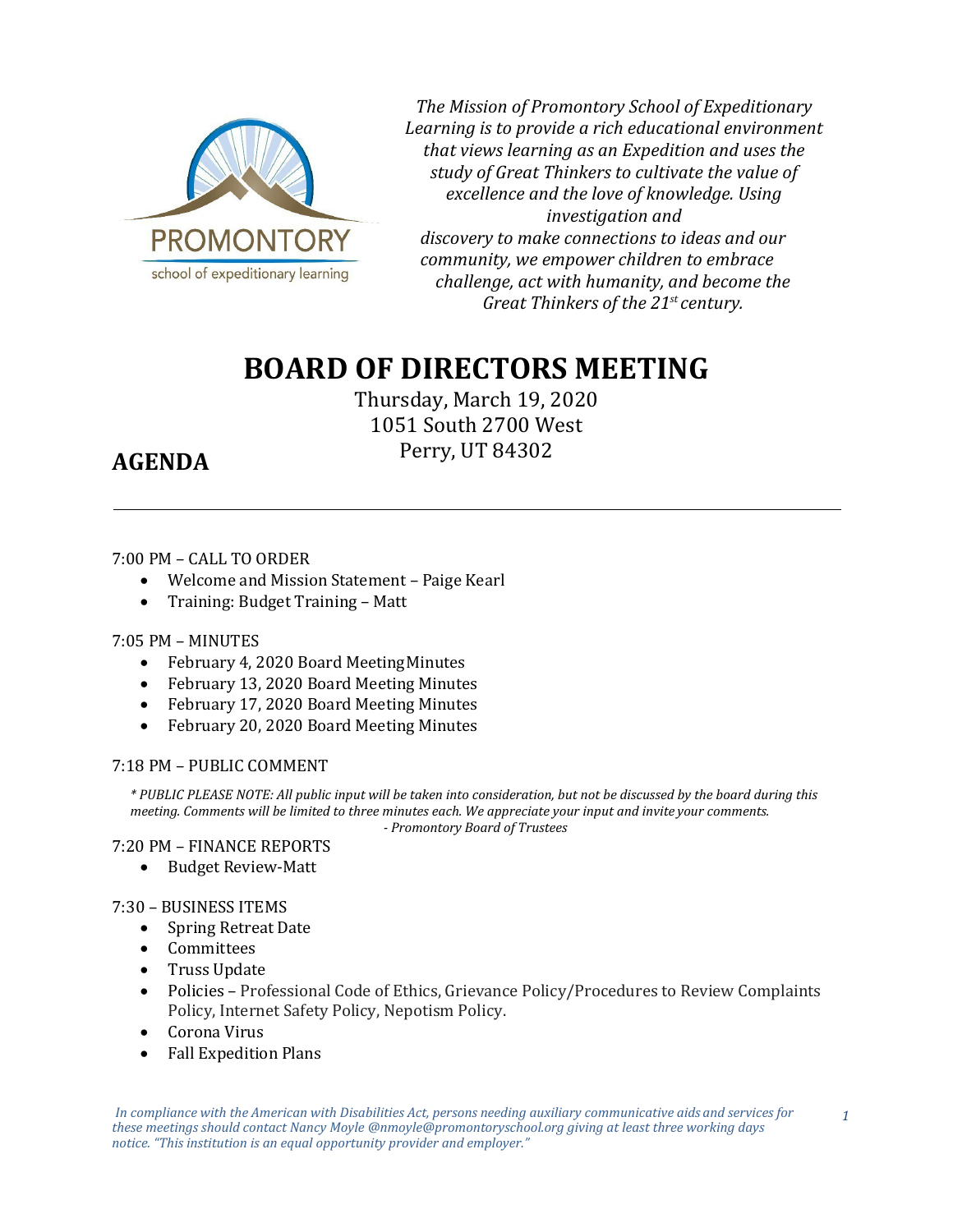

*The Mission of Promontory School of Expeditionary Learning is to provide a rich educational environment that views learning as an Expedition and uses the study of Great Thinkers to cultivate the value of excellence and the love of knowledge. Using investigation and discovery to make connections to ideas and our community, we empower children to embrace challenge, act with humanity, and become the Great Thinkers of the 21st century.*

# **BOARD OF DIRECTORS MEETING**

Thursday, March 19, 2020 1051 South 2700 West Perry, UT 84302

## **AGENDA**

### 7:00 PM – CALL TO ORDER

- Welcome and Mission Statement Paige Kearl
- Training: Budget Training Matt

#### 7:05 PM – MINUTES

- February 4, 2020 Board MeetingMinutes
- February 13, 2020 Board Meeting Minutes
- February 17, 2020 Board Meeting Minutes<br>• February 20, 2020 Board Meeting Minutes
- February 20, 2020 Board Meeting Minutes

#### 7:18 PM – PUBLIC COMMENT

*\* PUBLIC PLEASE NOTE: All public input will be taken into consideration, but not be discussed by the board during this meeting. Comments will be limited to three minutes each. We appreciate your input and invite your comments. - Promontory Board of Trustees*

#### 7:20 PM – FINANCE REPORTS

• Budget Review-Matt

#### 7:30 – BUSINESS ITEMS

- Spring Retreat Date
- Committees
- Truss Update
- Policies Professional Code of Ethics, Grievance Policy/Procedures to Review Complaints Policy, Internet Safety Policy, Nepotism Policy.
- Corona Virus
- Fall Expedition Plans